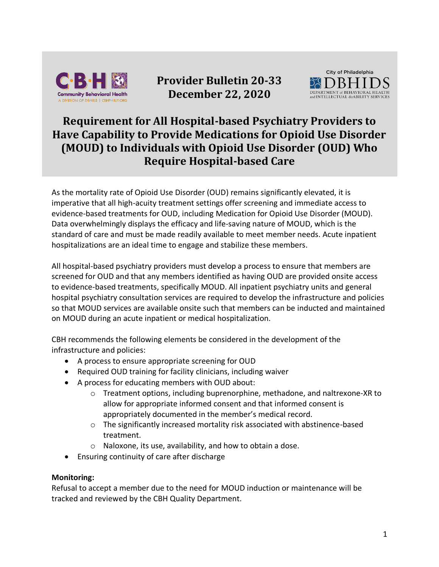

**Provider Bulletin 20-33 December 22, 2020**



## **Requirement for All Hospital-based Psychiatry Providers to Have Capability to Provide Medications for Opioid Use Disorder (MOUD) to Individuals with Opioid Use Disorder (OUD) Who Require Hospital-based Care**

As the mortality rate of Opioid Use Disorder (OUD) remains significantly elevated, it is imperative that all high-acuity treatment settings offer screening and immediate access to evidence-based treatments for OUD, including Medication for Opioid Use Disorder (MOUD). Data overwhelmingly displays the efficacy and life-saving nature of MOUD, which is the standard of care and must be made readily available to meet member needs. Acute inpatient hospitalizations are an ideal time to engage and stabilize these members.

All hospital-based psychiatry providers must develop a process to ensure that members are screened for OUD and that any members identified as having OUD are provided onsite access to evidence-based treatments, specifically MOUD. All inpatient psychiatry units and general hospital psychiatry consultation services are required to develop the infrastructure and policies so that MOUD services are available onsite such that members can be inducted and maintained on MOUD during an acute inpatient or medical hospitalization.

CBH recommends the following elements be considered in the development of the infrastructure and policies:

- A process to ensure appropriate screening for OUD
- Required OUD training for facility clinicians, including waiver
- A process for educating members with OUD about:
	- o Treatment options, including buprenorphine, methadone, and naltrexone-XR to allow for appropriate informed consent and that informed consent is appropriately documented in the member's medical record.
	- o The significantly increased mortality risk associated with abstinence-based treatment.
	- o Naloxone, its use, availability, and how to obtain a dose.
- Ensuring continuity of care after discharge

## **Monitoring:**

Refusal to accept a member due to the need for MOUD induction or maintenance will be tracked and reviewed by the CBH Quality Department.